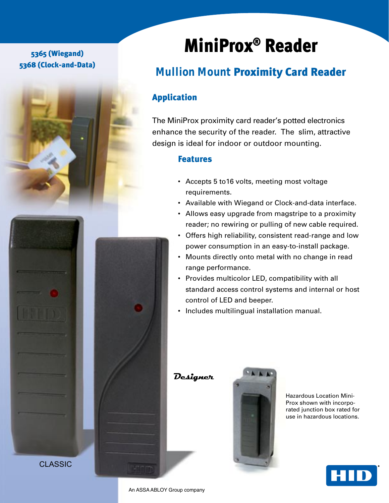# 5365 (Wiegand) 5368 (Clock-and-Data)

# MiniProx® Reader

# *Mullion Mount* Proximity Card Reader

# Application

The MiniProx proximity card reader's potted electronics enhance the security of the reader. The slim, attractive design is ideal for indoor or outdoor mounting.

### **Features**

- Accepts 5 to16 volts, meeting most voltage requirements.
- Available with Wiegand or Clock-and-data interface.
- Allows easy upgrade from magstripe to a proximity reader; no rewiring or pulling of new cable required.
- Offers high reliability, consistent read-range and low power consumption in an easy-to-install package.
- Mounts directly onto metal with no change in read range performance.
- Provides multicolor LED, compatibility with all standard access control systems and internal or host control of LED and beeper.
- Includes multilingual installation manual.

## **Designer**



Hazardous Location Mini-Prox shown with incorporated junction box rated for use in hazardous locations.



CLASSIC